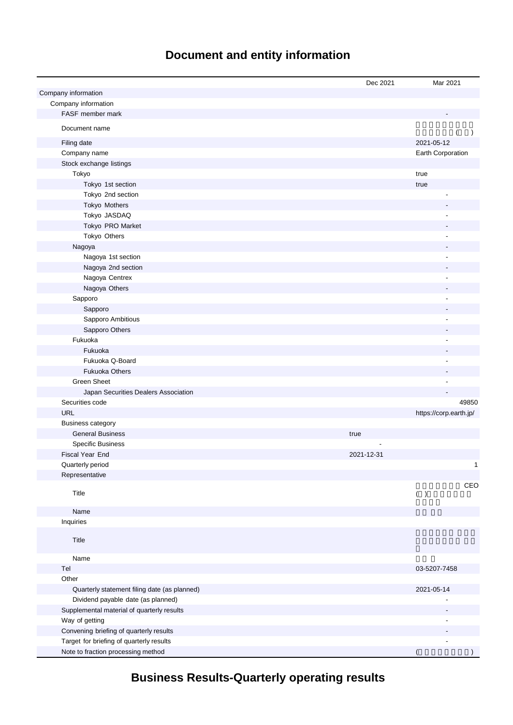# **Document and entity information**

|                                              | Dec 2021   | Mar 2021               |
|----------------------------------------------|------------|------------------------|
| Company information                          |            |                        |
| Company information                          |            |                        |
| FASF member mark                             |            |                        |
| Document name                                |            | $\lambda$              |
| Filing date                                  |            | 2021-05-12             |
| Company name                                 |            | Earth Corporation      |
| Stock exchange listings                      |            |                        |
| Tokyo                                        |            | true                   |
| Tokyo 1st section                            |            | true                   |
| Tokyo 2nd section                            |            |                        |
| Tokyo Mothers                                |            |                        |
| Tokyo JASDAQ                                 |            |                        |
| Tokyo PRO Market                             |            |                        |
| Tokyo Others                                 |            |                        |
| Nagoya                                       |            |                        |
| Nagoya 1st section                           |            |                        |
| Nagoya 2nd section                           |            |                        |
| Nagoya Centrex                               |            |                        |
| Nagoya Others                                |            |                        |
| Sapporo                                      |            |                        |
| Sapporo                                      |            |                        |
| Sapporo Ambitious                            |            |                        |
| Sapporo Others                               |            |                        |
| Fukuoka                                      |            |                        |
| Fukuoka                                      |            |                        |
| Fukuoka Q-Board                              |            |                        |
| <b>Fukuoka Others</b>                        |            |                        |
| <b>Green Sheet</b>                           |            |                        |
| Japan Securities Dealers Association         |            |                        |
| Securities code                              |            | 49850                  |
| <b>URL</b>                                   |            | https://corp.earth.jp/ |
| <b>Business category</b>                     |            |                        |
| <b>General Business</b>                      | true       |                        |
| <b>Specific Business</b>                     |            |                        |
| Fiscal Year End                              |            |                        |
| Quarterly period                             | 2021-12-31 |                        |
|                                              |            | 1                      |
| Representative                               |            | CEO                    |
| Title                                        |            | ( )                    |
| Name                                         |            |                        |
| Inquiries                                    |            |                        |
| Title                                        |            |                        |
| Name                                         |            |                        |
| Tel                                          |            | 03-5207-7458           |
| Other                                        |            |                        |
| Quarterly statement filing date (as planned) |            | 2021-05-14             |
| Dividend payable date (as planned)           |            |                        |
| Supplemental material of quarterly results   |            |                        |
| Way of getting                               |            |                        |
| Convening briefing of quarterly results      |            |                        |
| Target for briefing of quarterly results     |            | $\overline{a}$         |
| Note to fraction processing method           |            |                        |
|                                              |            |                        |

**Business Results-Quarterly operating results**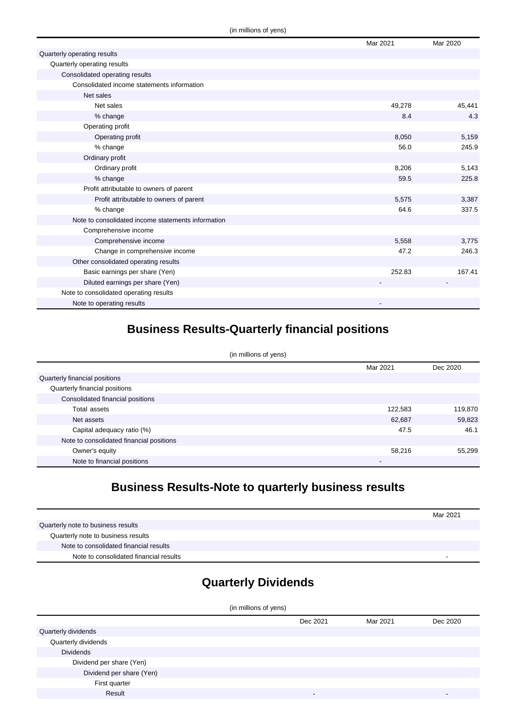|                                                    | Mar 2021 | Mar 2020 |
|----------------------------------------------------|----------|----------|
| Quarterly operating results                        |          |          |
| Quarterly operating results                        |          |          |
| Consolidated operating results                     |          |          |
| Consolidated income statements information         |          |          |
| Net sales                                          |          |          |
| Net sales                                          | 49,278   | 45,441   |
| % change                                           | 8.4      | 4.3      |
| Operating profit                                   |          |          |
| Operating profit                                   | 8,050    | 5,159    |
| % change                                           | 56.0     | 245.9    |
| Ordinary profit                                    |          |          |
| Ordinary profit                                    | 8,206    | 5,143    |
| % change                                           | 59.5     | 225.8    |
| Profit attributable to owners of parent            |          |          |
| Profit attributable to owners of parent            | 5,575    | 3,387    |
| % change                                           | 64.6     | 337.5    |
| Note to consolidated income statements information |          |          |
| Comprehensive income                               |          |          |
| Comprehensive income                               | 5,558    | 3,775    |
| Change in comprehensive income                     | 47.2     | 246.3    |
| Other consolidated operating results               |          |          |
| Basic earnings per share (Yen)                     | 252.83   | 167.41   |
| Diluted earnings per share (Yen)                   |          |          |
| Note to consolidated operating results             |          |          |
| Note to operating results                          |          |          |

## **Business Results-Quarterly financial positions**

| (in millions of yens)                    |          |          |  |
|------------------------------------------|----------|----------|--|
|                                          | Mar 2021 | Dec 2020 |  |
| Quarterly financial positions            |          |          |  |
| Quarterly financial positions            |          |          |  |
| Consolidated financial positions         |          |          |  |
| Total assets                             | 122,583  | 119,870  |  |
| Net assets                               | 62,687   | 59,823   |  |
| Capital adequacy ratio (%)               | 47.5     | 46.1     |  |
| Note to consolidated financial positions |          |          |  |
| Owner's equity                           | 58,216   | 55,299   |  |
| Note to financial positions              | -        |          |  |

## **Business Results-Note to quarterly business results**

|                                        | Mar 2021                 |
|----------------------------------------|--------------------------|
| Quarterly note to business results     |                          |
| Quarterly note to business results     |                          |
| Note to consolidated financial results |                          |
| Note to consolidated financial results | $\overline{\phantom{0}}$ |

# **Quarterly Dividends**

| (in millions of yens)    |          |          |          |
|--------------------------|----------|----------|----------|
|                          | Dec 2021 | Mar 2021 | Dec 2020 |
| Quarterly dividends      |          |          |          |
| Quarterly dividends      |          |          |          |
| <b>Dividends</b>         |          |          |          |
| Dividend per share (Yen) |          |          |          |
| Dividend per share (Yen) |          |          |          |
| First quarter            |          |          |          |
| Result                   | -        |          |          |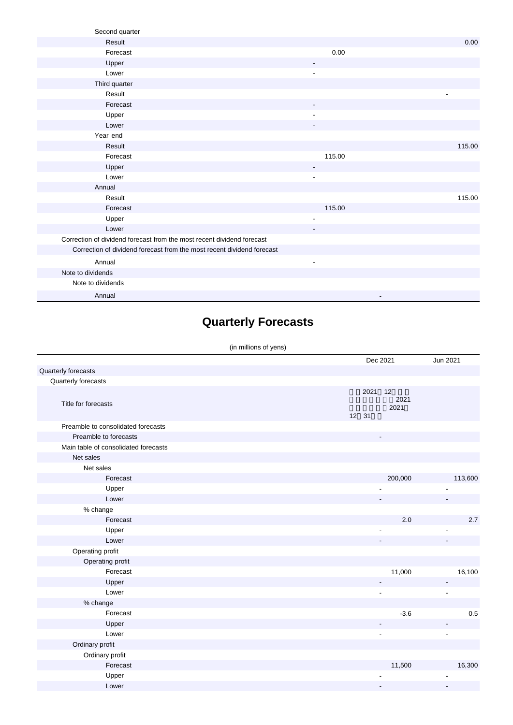| Second quarter                                                         |                          |        |
|------------------------------------------------------------------------|--------------------------|--------|
| Result                                                                 |                          | 0.00   |
| Forecast                                                               | 0.00                     |        |
| Upper                                                                  |                          |        |
| Lower                                                                  | $\overline{\phantom{a}}$ |        |
| Third quarter                                                          |                          |        |
| Result                                                                 |                          |        |
| Forecast                                                               | $\overline{\phantom{a}}$ |        |
| Upper                                                                  |                          |        |
| Lower                                                                  |                          |        |
| Year end                                                               |                          |        |
| Result                                                                 |                          | 115.00 |
| Forecast                                                               | 115.00                   |        |
| Upper                                                                  | $\overline{a}$           |        |
| Lower                                                                  | $\overline{\phantom{a}}$ |        |
| Annual                                                                 |                          |        |
| Result                                                                 |                          | 115.00 |
| Forecast                                                               | 115.00                   |        |
| Upper                                                                  | $\overline{\phantom{a}}$ |        |
| Lower                                                                  |                          |        |
| Correction of dividend forecast from the most recent dividend forecast |                          |        |
| Correction of dividend forecast from the most recent dividend forecast |                          |        |
| Annual                                                                 | $\overline{\phantom{a}}$ |        |
| Note to dividends                                                      |                          |        |
| Note to dividends                                                      |                          |        |
| Annual                                                                 |                          |        |

# **Quarterly Forecasts**

#### (in millions of yens)

|                                      | Dec 2021                            | Jun 2021                 |
|--------------------------------------|-------------------------------------|--------------------------|
| Quarterly forecasts                  |                                     |                          |
| Quarterly forecasts                  |                                     |                          |
| Title for forecasts                  | 2021<br>12<br>2021<br>2021<br>12 31 |                          |
| Preamble to consolidated forecasts   |                                     |                          |
| Preamble to forecasts                |                                     |                          |
| Main table of consolidated forecasts |                                     |                          |
| Net sales                            |                                     |                          |
| Net sales                            |                                     |                          |
| Forecast                             | 200,000                             | 113,600                  |
| Upper                                |                                     |                          |
| Lower                                |                                     |                          |
| % change                             |                                     |                          |
| Forecast                             | 2.0                                 | 2.7                      |
| Upper                                |                                     |                          |
| Lower                                |                                     |                          |
| Operating profit                     |                                     |                          |
| Operating profit                     |                                     |                          |
| Forecast                             | 11,000                              | 16,100                   |
| Upper                                |                                     |                          |
| Lower                                |                                     | ٠                        |
| % change                             |                                     |                          |
| Forecast                             | $-3.6$                              | 0.5                      |
| Upper                                |                                     | $\overline{\phantom{a}}$ |
| Lower                                | $\overline{\phantom{a}}$            | $\blacksquare$           |
| Ordinary profit                      |                                     |                          |
| Ordinary profit                      |                                     |                          |
| Forecast                             | 11,500                              | 16,300                   |
| Upper                                |                                     |                          |
| Lower                                |                                     |                          |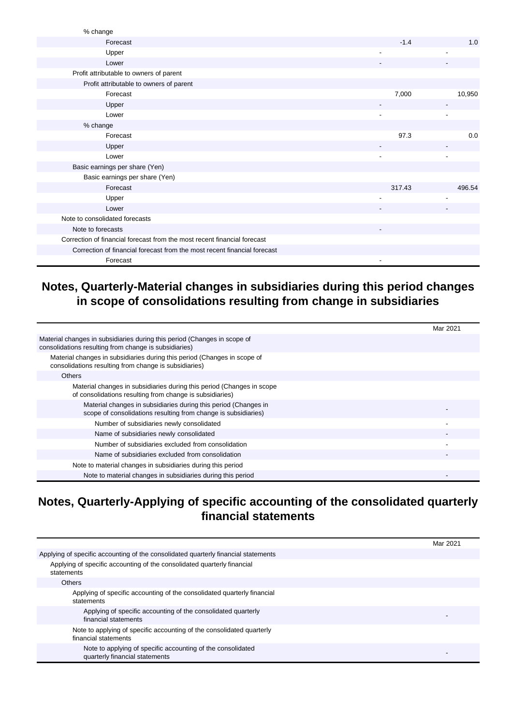| % change                                                                 |        |        |
|--------------------------------------------------------------------------|--------|--------|
| Forecast                                                                 | $-1.4$ | 1.0    |
| Upper                                                                    | ٠      |        |
| Lower                                                                    |        |        |
| Profit attributable to owners of parent                                  |        |        |
| Profit attributable to owners of parent                                  |        |        |
| Forecast                                                                 | 7,000  | 10,950 |
| Upper                                                                    |        |        |
| Lower                                                                    |        |        |
| % change                                                                 |        |        |
| Forecast                                                                 | 97.3   | 0.0    |
| Upper                                                                    |        |        |
| Lower                                                                    |        |        |
| Basic earnings per share (Yen)                                           |        |        |
| Basic earnings per share (Yen)                                           |        |        |
| Forecast                                                                 | 317.43 | 496.54 |
| Upper                                                                    |        |        |
| Lower                                                                    |        |        |
| Note to consolidated forecasts                                           |        |        |
| Note to forecasts                                                        |        |        |
| Correction of financial forecast from the most recent financial forecast |        |        |
| Correction of financial forecast from the most recent financial forecast |        |        |
| Forecast                                                                 |        |        |

### **Notes, Quarterly-Material changes in subsidiaries during this period changes in scope of consolidations resulting from change in subsidiaries**

|                                                                                                                                   | Mar 2021 |
|-----------------------------------------------------------------------------------------------------------------------------------|----------|
| Material changes in subsidiaries during this period (Changes in scope of<br>consolidations resulting from change is subsidiaries) |          |
| Material changes in subsidiaries during this period (Changes in scope of<br>consolidations resulting from change is subsidiaries) |          |
| <b>Others</b>                                                                                                                     |          |
| Material changes in subsidiaries during this period (Changes in scope<br>of consolidations resulting from change is subsidiaries) |          |
| Material changes in subsidiaries during this period (Changes in<br>scope of consolidations resulting from change is subsidiaries) |          |
| Number of subsidiaries newly consolidated                                                                                         |          |
| Name of subsidiaries newly consolidated                                                                                           |          |
| Number of subsidiaries excluded from consolidation                                                                                |          |
| Name of subsidiaries excluded from consolidation                                                                                  |          |
| Note to material changes in subsidiaries during this period                                                                       |          |
| Note to material changes in subsidiaries during this period                                                                       |          |

### **Notes, Quarterly-Applying of specific accounting of the consolidated quarterly financial statements**

|                                                                                               | Mar 2021 |
|-----------------------------------------------------------------------------------------------|----------|
| Applying of specific accounting of the consolidated quarterly financial statements            |          |
| Applying of specific accounting of the consolidated quarterly financial<br>statements         |          |
| <b>Others</b>                                                                                 |          |
| Applying of specific accounting of the consolidated quarterly financial<br>statements         |          |
| Applying of specific accounting of the consolidated quarterly<br>financial statements         |          |
| Note to applying of specific accounting of the consolidated quarterly<br>financial statements |          |
| Note to applying of specific accounting of the consolidated<br>quarterly financial statements |          |